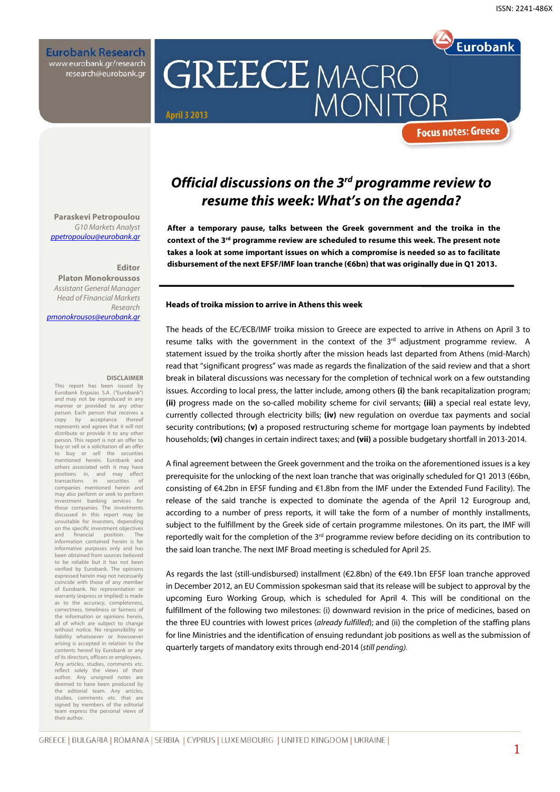**Eurobank Research** www.eurobank.gr/research research@eurobank.gr

# **GREECE MACRO MONI April 3 2013**

**Focus notes: Greece** 

**Eurobank** 

### **Official discussions on the 3rd programme review to resume this week: What's on the agenda?**

**After a temporary pause, talks between the Greek government and the troika in the context of the 3rd programme review are scheduled to resume this week. The present note takes a look at some important issues on which a compromise is needed so as to facilitate disbursement of the next EFSF/IMF loan tranche (€6bn) that was originally due in Q1 2013.** 

#### **Heads of troika mission to arrive in Athens this week**

The heads of the EC/ECB/IMF troika mission to Greece are expected to arrive in Athens on April 3 to resume talks with the government in the context of the  $3<sup>rd</sup>$  adjustment programme review. A statement issued by the troika shortly after the mission heads last departed from Athens (mid-March) read that "significant progress" was made as regards the finalization of the said review and that a short break in bilateral discussions was necessary for the completion of technical work on a few outstanding issues. According to local press, the latter include, among others **(i)** the bank recapitalization program; **(ii)** progress made on the so-called mobility scheme for civil servants; **(iii)** a special real estate levy, currently collected through electricity bills; **(iv)** new regulation on overdue tax payments and social security contributions; **(v)** a proposed restructuring scheme for mortgage loan payments by indebted households; **(vi)** changes in certain indirect taxes; and **(vii)** a possible budgetary shortfall in 2013-2014.

A final agreement between the Greek government and the troika on the aforementioned issues is a key prerequisite for the unlocking of the next loan tranche that was originally scheduled for Q1 2013 (€6bn, consisting of €4.2bn in EFSF funding and €1.8bn from the IMF under the Extended Fund Facility). The release of the said tranche is expected to dominate the agenda of the April 12 Eurogroup and, according to a number of press reports, it will take the form of a number of monthly installments, subject to the fulfillment by the Greek side of certain programme milestones. On its part, the IMF will reportedly wait for the completion of the  $3<sup>rd</sup>$  programme review before deciding on its contribution to the said loan tranche. The next IMF Broad meeting is scheduled for April 25.

As regards the last (still-undisbursed) installment (€2.8bn) of the €49.1bn EFSF loan tranche approved in December 2012, an EU Commission spokesman said that its release will be subject to approval by the upcoming Euro Working Group, which is scheduled for April 4. This will be conditional on the fulfillment of the following two milestones: (i) downward revision in the price of medicines, based on the three EU countries with lowest prices (already fulfilled); and (ii) the completion of the staffing plans for line Ministries and the identification of ensuing redundant job positions as well as the submission of quarterly targets of mandatory exits through end-2014 (still *pending).*

**Paraskevi Petropoulou**  G10 Markets Analyst ppetropoulou@eurobank.gr

#### **Editor**

**Platon Monokroussos**  Assistant General Manager Head of Financial Markets Research pmonokrousos@eurobank.gr

#### **DISCLAIMER**

This report has been issued by Eurobank Ergasias S.A. ("Eurobank") and may not be reproduced in any manner or provided to any other person. Each person that receives a<br>copy by acceptance thereof copy by acceptance represents and agrees that it will not distribute or provide it to any other person. This report is not an offer to buy or sell or a solicitation of an offer<br>to buy or sell the securities sell the mentioned herein. Eurobank and others associated with it may have positions in, and may effect transactions in securities of companies mentioned herein and may also perform or seek to perform<br>investment banking services for investment banking service those companies. The investments discussed in this report may be unsuitable for investors, depending on the specific investment objectives and financial position information contained herein is for informative purposes only and has been obtained from sources believed to be reliable but it has not been verified by Eurobank. The opinions expressed herein may not necessarily coincide with those of any member of Eurobank. No representation or warranty (express or implied) is made as to the accuracy, completeness, correctness, timeliness or fairness of the information or opinions herein, all of which are subject to change without notice. No responsibility or liability whatsoever or howsoever arising is accepted in relation to the contents hereof by Eurobank or any of its directors, officers or employees. Any articles, studies, comments etc. reflect solely the views of their author. Any unsigned notes are deemed to have been produced by the editorial team. Any articles, studies, comments etc. that are signed by members of the editorial team express the personal views of their author.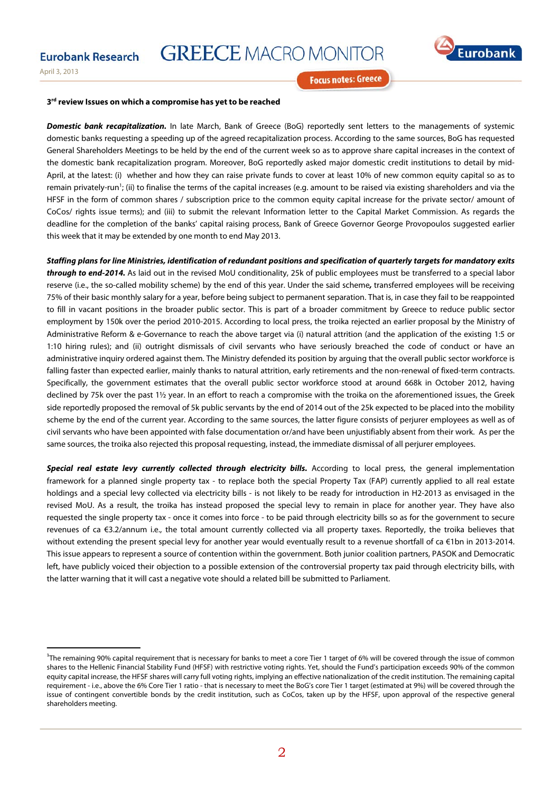**GREECE MACRO MONITOR** 



April 3, 2013

**Focus notes: Greece** 

#### **3rd review Issues on which a compromise has yet to be reached**

**Domestic bank recapitalization.** In late March, Bank of Greece (BoG) reportedly sent letters to the managements of systemic domestic banks requesting a speeding up of the agreed recapitalization process. According to the same sources, BoG has requested General Shareholders Meetings to be held by the end of the current week so as to approve share capital increases in the context of the domestic bank recapitalization program. Moreover, BoG reportedly asked major domestic credit institutions to detail by mid-April, at the latest: (i) whether and how they can raise private funds to cover at least 10% of new common equity capital so as to remain privately-run<sup>1</sup>; (ii) to finalise the terms of the capital increases (e.g. amount to be raised via existing shareholders and via the HFSF in the form of common shares / subscription price to the common equity capital increase for the private sector/ amount of CoCos/ rights issue terms); and (iii) to submit the relevant Information letter to the Capital Market Commission. As regards the deadline for the completion of the banks' capital raising process, Bank of Greece Governor George Provopoulos suggested earlier this week that it may be extended by one month to end May 2013.

**Staffing plans for line Ministries, identification of redundant positions and specification of quarterly targets for mandatory exits through to end-2014.** As laid out in the revised MoU conditionality, 25k of public employees must be transferred to a special labor reserve (i.e., the so-called mobility scheme) by the end of this year. Under the said scheme**,** transferred employees will be receiving 75% of their basic monthly salary for a year, before being subject to permanent separation. That is, in case they fail to be reappointed to fill in vacant positions in the broader public sector. This is part of a broader commitment by Greece to reduce public sector employment by 150k over the period 2010-2015. According to local press, the troika rejected an earlier proposal by the Ministry of Administrative Reform & e-Governance to reach the above target via (i) natural attrition (and the application of the existing 1:5 or 1:10 hiring rules); and (ii) outright dismissals of civil servants who have seriously breached the code of conduct or have an administrative inquiry ordered against them. The Ministry defended its position by arguing that the overall public sector workforce is falling faster than expected earlier, mainly thanks to natural attrition, early retirements and the non-renewal of fixed-term contracts. Specifically, the government estimates that the overall public sector workforce stood at around 668k in October 2012, having declined by 75k over the past 1½ year. In an effort to reach a compromise with the troika on the aforementioned issues, the Greek side reportedly proposed the removal of 5k public servants by the end of 2014 out of the 25k expected to be placed into the mobility scheme by the end of the current year. According to the same sources, the latter figure consists of perjurer employees as well as of civil servants who have been appointed with false documentation or/and have been unjustifiably absent from their work. As per the same sources, the troika also rejected this proposal requesting, instead, the immediate dismissal of all perjurer employees.

**Special real estate levy currently collected through electricity bills.** According to local press, the general implementation framework for a planned single property tax - to replace both the special Property Tax (FAP) currently applied to all real estate holdings and a special levy collected via electricity bills - is not likely to be ready for introduction in H2-2013 as envisaged in the revised MoU. As a result, the troika has instead proposed the special levy to remain in place for another year. They have also requested the single property tax - once it comes into force - to be paid through electricity bills so as for the government to secure revenues of ca €3.2/annum i.e., the total amount currently collected via all property taxes. Reportedly, the troika believes that without extending the present special levy for another year would eventually result to a revenue shortfall of ca €1bn in 2013-2014. This issue appears to represent a source of contention within the government. Both junior coalition partners, PASOK and Democratic left, have publicly voiced their objection to a possible extension of the controversial property tax paid through electricity bills, with the latter warning that it will cast a negative vote should a related bill be submitted to Parliament.

<sup>&</sup>lt;sup>1</sup>The remaining 90% capital requirement that is necessary for banks to meet a core Tier 1 target of 6% will be covered through the issue of common shares to the Hellenic Financial Stability Fund (HFSF) with restrictive voting rights. Yet, should the Fund's participation exceeds 90% of the common equity capital increase, the HFSF shares will carry full voting rights, implying an effective nationalization of the credit institution. The remaining capital requirement - i.e., above the 6% Core Tier 1 ratio - that is necessary to meet the BoG's core Tier 1 target (estimated at 9%) will be covered through the issue of contingent convertible bonds by the credit institution, such as CoCos, taken up by the HFSF, upon approval of the respective general shareholders meeting.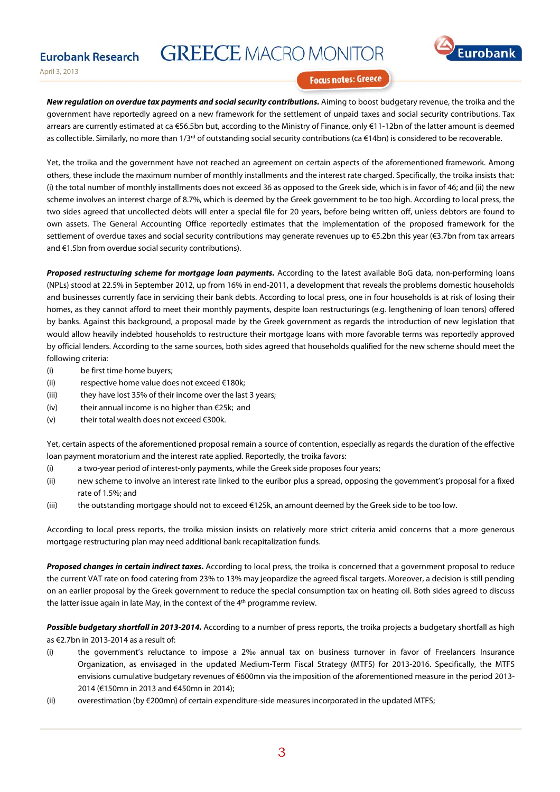## **GREECE MACRO MONITOR**



April 3, 2013

**Eurobank Research** 

#### **Focus notes: Greece**

**New regulation on overdue tax payments and social security contributions.** Aiming to boost budgetary revenue, the troika and the government have reportedly agreed on a new framework for the settlement of unpaid taxes and social security contributions. Tax arrears are currently estimated at ca €56.5bn but, according to the Ministry of Finance, only €11-12bn of the latter amount is deemed as collectible. Similarly, no more than 1/3<sup>rd</sup> of outstanding social security contributions (ca €14bn) is considered to be recoverable.

Yet, the troika and the government have not reached an agreement on certain aspects of the aforementioned framework. Among others, these include the maximum number of monthly installments and the interest rate charged. Specifically, the troika insists that: (i) the total number of monthly installments does not exceed 36 as opposed to the Greek side, which is in favor of 46; and (ii) the new scheme involves an interest charge of 8.7%, which is deemed by the Greek government to be too high. According to local press, the two sides agreed that uncollected debts will enter a special file for 20 years, before being written off, unless debtors are found to own assets. The General Accounting Office reportedly estimates that the implementation of the proposed framework for the settlement of overdue taxes and social security contributions may generate revenues up to €5.2bn this year (€3.7bn from tax arrears and €1.5bn from overdue social security contributions).

**Proposed restructuring scheme for mortgage loan payments.** According to the latest available BoG data, non-performing loans (NPLs) stood at 22.5% in September 2012, up from 16% in end-2011, a development that reveals the problems domestic households and businesses currently face in servicing their bank debts. According to local press, one in four households is at risk of losing their homes, as they cannot afford to meet their monthly payments, despite loan restructurings (e.g. lengthening of loan tenors) offered by banks. Against this background, a proposal made by the Greek government as regards the introduction of new legislation that would allow heavily indebted households to restructure their mortgage loans with more favorable terms was reportedly approved by official lenders. According to the same sources, both sides agreed that households qualified for the new scheme should meet the following criteria:

- (i) be first time home buyers;
- (ii) respective home value does not exceed  $\epsilon$ 180k;
- (iii) they have lost 35% of their income over the last 3 years;
- (iv) their annual income is no higher than  $\epsilon$ 25k; and
- (v) their total wealth does not exceed  $\epsilon$ 300k.

Yet, certain aspects of the aforementioned proposal remain a source of contention, especially as regards the duration of the effective loan payment moratorium and the interest rate applied. Reportedly, the troika favors:

- (i) a two-year period of interest-only payments, while the Greek side proposes four years;
- (ii) new scheme to involve an interest rate linked to the euribor plus a spread, opposing the government's proposal for a fixed rate of 1.5%; and
- (iii) the outstanding mortgage should not to exceed  $\in$ 125k, an amount deemed by the Greek side to be too low.

According to local press reports, the troika mission insists on relatively more strict criteria amid concerns that a more generous mortgage restructuring plan may need additional bank recapitalization funds.

**Proposed changes in certain indirect taxes.** According to local press, the troika is concerned that a government proposal to reduce the current VAT rate on food catering from 23% to 13% may jeopardize the agreed fiscal targets. Moreover, a decision is still pending on an earlier proposal by the Greek government to reduce the special consumption tax on heating oil. Both sides agreed to discuss the latter issue again in late May, in the context of the  $4<sup>th</sup>$  programme review.

**Possible budgetary shortfall in 2013-2014.** According to a number of press reports, the troika projects a budgetary shortfall as high as €2.7bn in 2013-2014 as a result of:

- (i) the government's reluctance to impose a 2‰ annual tax on business turnover in favor of Freelancers Insurance Organization, as envisaged in the updated Medium-Term Fiscal Strategy (MTFS) for 2013-2016. Specifically, the MTFS envisions cumulative budgetary revenues of €600mn via the imposition of the aforementioned measure in the period 2013- 2014 (€150mn in 2013 and €450mn in 2014);
- (ii) overestimation (by  $E200$ mn) of certain expenditure-side measures incorporated in the updated MTFS;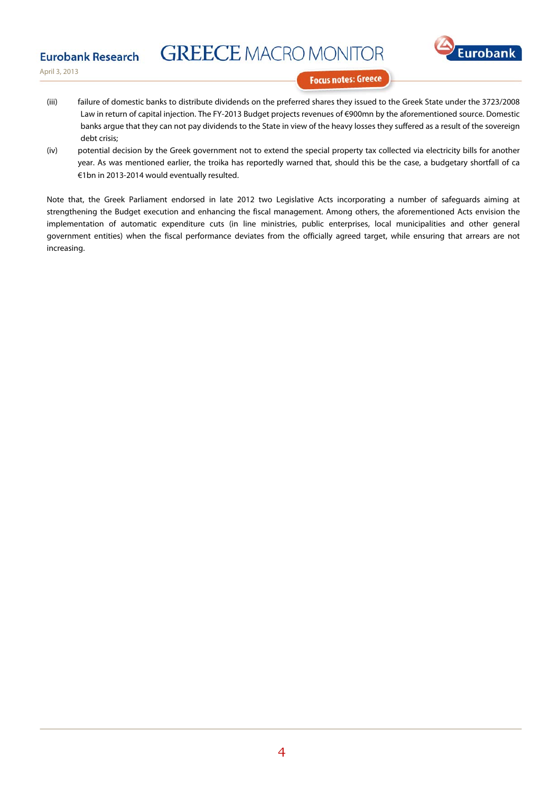## **GREECE MACRO MONITOR**



April 3, 2013

**Eurobank Research** 

**Focus notes: Greece** 

- (iii) failure of domestic banks to distribute dividends on the preferred shares they issued to the Greek State under the 3723/2008 Law in return of capital injection. The FY-2013 Budget projects revenues of €900mn by the aforementioned source. Domestic banks argue that they can not pay dividends to the State in view of the heavy losses they suffered as a result of the sovereign debt crisis;
- (iv) potential decision by the Greek government not to extend the special property tax collected via electricity bills for another year. As was mentioned earlier, the troika has reportedly warned that, should this be the case, a budgetary shortfall of ca €1bn in 2013-2014 would eventually resulted.

Note that, the Greek Parliament endorsed in late 2012 two Legislative Acts incorporating a number of safeguards aiming at strengthening the Budget execution and enhancing the fiscal management. Among others, the aforementioned Acts envision the implementation of automatic expenditure cuts (in line ministries, public enterprises, local municipalities and other general government entities) when the fiscal performance deviates from the officially agreed target, while ensuring that arrears are not increasing.